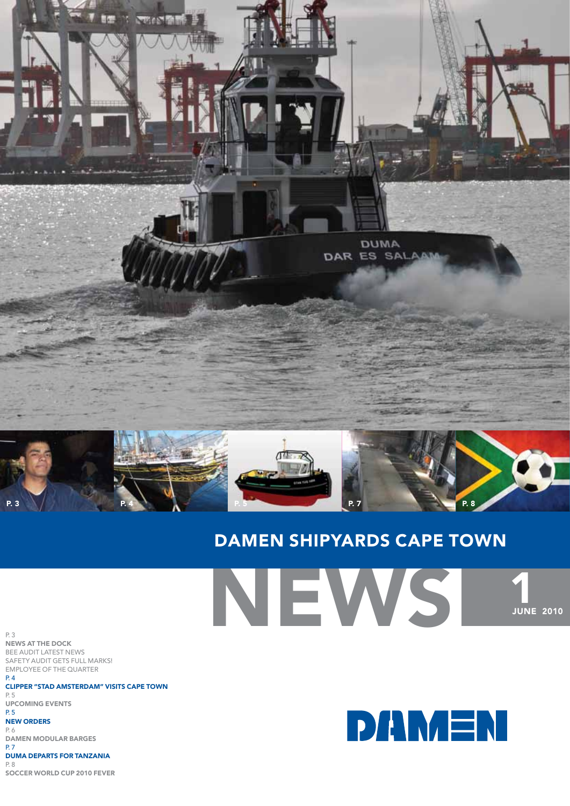

# Damen shipyards cape town

News p. 3 news at the dock bee audit latest news safety audit gets full marks! employee of the quarter p. 4 clipper "stad amsterdam" visits cape town p. 5 upcoming events p. 5 new orders p. 6 damen modular barges p. 7 duma departs for tanzania  $P.8$ soccer world cup 2010 fever



**1**<br>JUNE 2010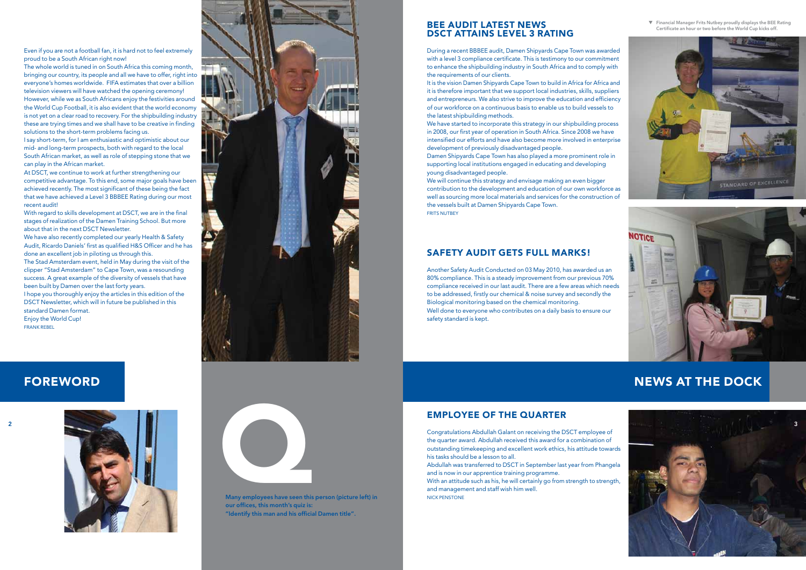

Even if you are not a football fan, it is hard not to feel extremely proud to be a South African right now!

The whole world is tuned in on South Africa this coming month, bringing our country, its people and all we have to offer, right into everyone's homes worldwide. FIFA estimates that over a billion television viewers will have watched the opening ceremony! However, while we as South Africans enjoy the festivities around the World Cup Football, it is also evident that the world economy is not yet on a clear road to recovery. For the shipbuilding industry these are trying times and we shall have to be creative in finding solutions to the short-term problems facing us.

We have also recently completed our yearly Health & Safety Audit, Ricardo Daniels' first as qualified H&S Officer and he has done an excellent job in piloting us through this. The Stad Amsterdam event, held in May during the visit of the

I say short-term, for I am enthusiastic and optimistic about our mid- and long-term prospects, both with regard to the local South African market, as well as role of stepping stone that we can play in the African market.

At DSCT, we continue to work at further strengthening our competitive advantage. To this end, some major goals have been achieved recently. The most significant of these being the fact that we have achieved a Level 3 BBBEE Rating during our most recent audit!

With regard to skills development at DSCT, we are in the final stages of realization of the Damen Training School. But more about that in the next DSCT Newsletter.

clipper "Stad Amsterdam" to Cape Town, was a resounding success. A great example of the diversity of vessels that have been built by Damen over the last forty years. I hope you thoroughly enjoy the articles in this edition of the

We have started to incorporate this strategy in our shipbuilding process in 2008, our first year of operation in South Africa. Since 2008 we have intensified our efforts and have also become more involved in enterprise development of previously disadvantaged people.

We will continue this strategy and envisage making an even bigger contribution to the development and education of our own workforce as well as sourcing more local materials and services for the construction of the vessels built at Damen Shipyards Cape Town. **FRITS NUTBEY** 

DSCT Newsletter, which will in future be published in this standard Damen format. Enjoy the World Cup!

frank rebel

# **FOREWORD**





Many employees have seen this person (picture left) in our offices, this month's quiz is: "Identify this man and his official Damen title".

## employee of the quarter

Congratulations Abdullah Galant on receiving the DSCT employee of the quarter award. Abdullah received this award for a combination of outstanding timekeeping and excellent work ethics, his attitude towards his tasks should be a lesson to all.

Abdullah was transferred to DSCT in September last year from Phangela and is now in our apprentice training programme. With an attitude such as his, he will certainly go from strength to strength, and management and staff wish him well. nick penstone

### bee audit latest news dsct attains level 3 rating

During a recent BBBEE audit, Damen Shipyards Cape Town was awarded with a level 3 compliance certificate. This is testimony to our commitment to enhance the shipbuilding industry in South Africa and to comply with the requirements of our clients.

It is the vision Damen Shipyards Cape Town to build in Africa for Africa and it is therefore important that we support local industries, skills, suppliers and entrepreneurs. We also strive to improve the education and efficiency of our workforce on a continuous basis to enable us to build vessels to the latest shipbuilding methods.

Damen Shipyards Cape Town has also played a more prominent role in supporting local institutions engaged in educating and developing young disadvantaged people.

# news at the dock



## safety audit gets full marks!

Another Safety Audit Conducted on 03 May 2010, has awarded us an 80% compliance. This is a steady improvement from our previous 70% compliance received in our last audit. There are a few areas which needs to be addressed, firstly our chemical & noise survey and secondly the Biological monitoring based on the chemical monitoring. Well done to everyone who contributes on a daily basis to ensure our safety standard is kept.

▼ Financial Manager Frits Nutbey proudly displays the BEE Rating Certificate an hour or two before the World Cup kicks off.



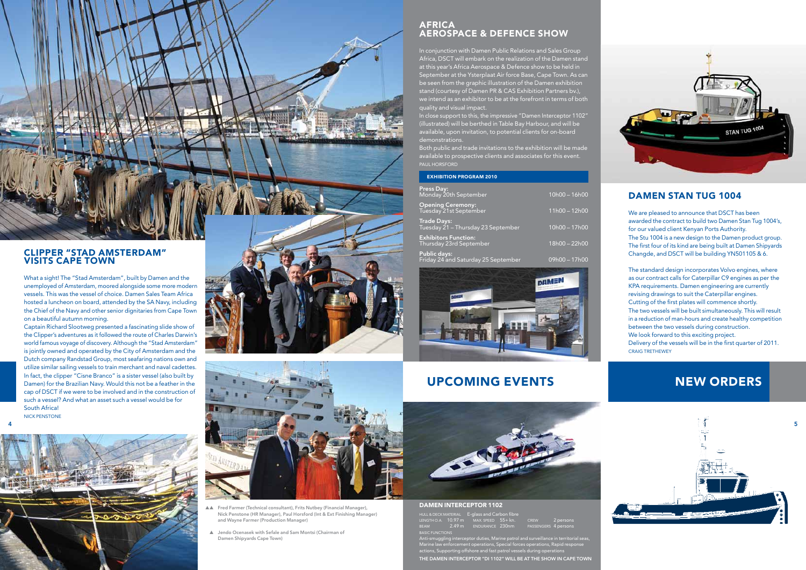- ▲▲ Fred Farmer (Technical consultant), Frits Nutbey (Financial Manager), Nick Penstone (HR Manager), Paul Horsford (Int & Ext Finishing Manager) and Wayne Farmer (Production Manager)
- ▲ Jendo Ocenasek with Sefale and Sam Montsi (Chairman of Damen Shipyards Cape Town)

#### DAMEN INTERCEPTOR 1102

|                        |  | HULL & DECK MATERIAL E-glass and Carbon fibre                |  |                      |  |  |
|------------------------|--|--------------------------------------------------------------|--|----------------------|--|--|
|                        |  | LENGTH O.A. $10.97 \text{ m}$ MAX. SPEED $55 + \text{ kn}$ . |  | CREW 2 persons       |  |  |
| $BEAM$ 2.49 m          |  | ENDURANCE 230nm                                              |  | PASSENGERS 4 persons |  |  |
| <b>BASIC FUNCTIONS</b> |  |                                                              |  |                      |  |  |



#### clipper "stad amsterdam" VISITS CAPE TOW

Anti-smuggling interceptor duties, Marine patrol and surveillance in territorial seas, nent operations, Special forces operations, Rapid response actions, Supporting offshore and fast patrol vessels during operations THE DAMEN INTERCEPTOR "DI 1102" WILL BE AT THE SHOW IN CAPE TOWN



What a sight! The "Stad Amsterdam", built by Damen and the unemployed of Amsterdam, moored alongside some more modern vessels. This was the vessel of choice. Damen Sales Team Africa hosted a luncheon on board, attended by the SA Navy, including the Chief of the Navy and other senior dignitaries from Cape Town on a beautiful autumn morning.

#### **AFRICA** aerospace & defence show

Captain Richard Slootweg presented a fascinating slide show of the Clipper's adventures as it followed the route of Charles Darwin's world famous voyage of discovery. Although the "Stad Amsterdam" is jointly owned and operated by the City of Amsterdam and the Dutch company Randstad Group, most seafaring nations own and utilize similar sailing vessels to train merchant and naval cadettes. In fact, the clipper "Cisne Branco" is a sister vessel (also built by Damen) for the Brazilian Navy. Would this not be a feather in the cap of DSCT if we were to be involved and in the construction of such a vessel? And what an asset such a vessel would be for South Africa! nick penstone

In close support to this, the impressive "Damen Interceptor 1102" (illustrated) will be berthed in Table Bay Harbour, and will be available, upon invitation, to potential clients for on-board demonstrations.



## Damen stan tug 1004

We are pleased to announce that DSCT has been awarded the contract to build two Damen Stan Tug 1004's, for our valued client Kenyan Ports Authority. The Stu 1004 is a new design to the Damen product group. The first four of its kind are being built at Damen Shipyards Changde, and DSCT will be building YN501105 & 6.

The standard design incorporates Volvo engines, where as our contract calls for Caterpillar C9 engines as per the KPA requirements. Damen engineering are currently revising drawings to suit the Caterpillar engines. Cutting of the first plates will commence shortly. The two vessels will be built simultaneously. This will result in a reduction of man-hours and create healthy competition between the two vessels during construction. We look forward to this exciting project. Delivery of the vessels will be in the first quarter of 2011. craig trethewey

In conjunction with Damen Public Relations and Sales Group Africa, DSCT will embark on the realization of the Damen stand at this year's Africa Aerospace & Defence show to be held in September at the Ysterplaat Air force Base, Cape Town. As can be seen from the graphic illustration of the Damen exhibition stand (courtesy of Damen PR & CAS Exhibition Partners bv.), we intend as an exhibitor to be at the forefront in terms of both quality and visual impact.

Both public and trade invitations to the exhibition will be made available to prospective clients and associates for this event. paul horsford

| <b>EXHIBITION PROGRAM 2010</b>                             |                 |
|------------------------------------------------------------|-----------------|
| <b>Press Day:</b><br>Monday 20th September                 | 10h00 - 16h00   |
| <b>Opening Ceremony:</b><br>Tuesday 21st September         | $11h00 - 12h00$ |
| <b>Trade Days:</b><br>Tuesday 21 – Thursday 23 September   | 10h00 - 17h00   |
| <b>Exhibitors Function:</b><br>Thursday 23rd September     | 18h00 - 22h00   |
| <b>Public days:</b><br>Friday 24 and Saturday 25 September | $09h00 - 17h00$ |



## UPCOMING EVENTS NEW ORDERS







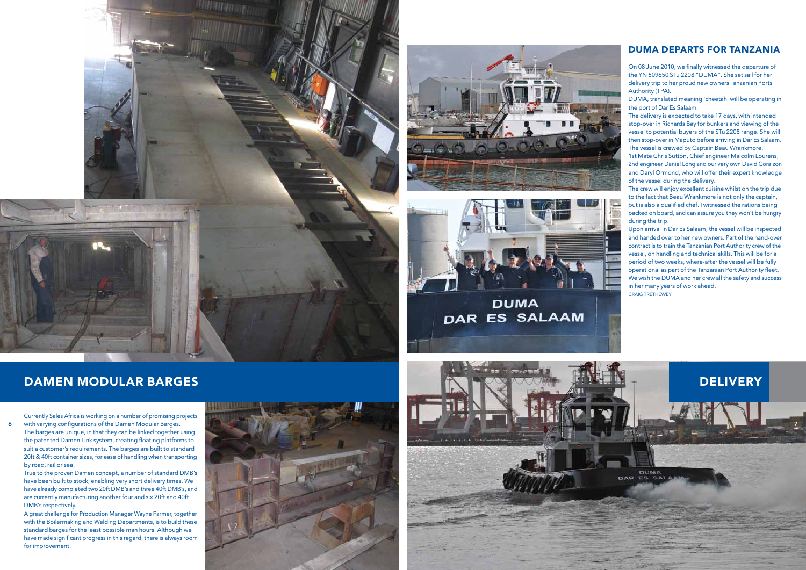



**DUMA** DAR ES SALAAM



# dame n mo dular barges

7

Currently Sales Africa is working on a number of promising projects with varying configurations of the Damen Modular Barges. The barges are unique, in that they can be linked together using the patented Damen Link system, creating floating platforms to suit a customer's requirements. The barges are built to standard 20ft & 40ft container sizes, for ease of handling when transporting by road, rail or sea.

True to the proven Damen concept, a number of standard DMB's have been built to stock, enabling very short delivery times. We have already completed two 20ft DMB's and three 40ft DMB's, and are currently manufacturing another four and six 20ft and 40ft DMB's respectively.

A great challenge for Production Manager Wayne Farmer, together with the Boilermaking and Welding Departments, is to build these standard barges for the least possible man hours. Although we have made significant progress in this regard, there is always room for improvement!



The crew will enjoy excellent cuisine whilst on the trip due to the fact that Beau Wrankmore is not only the captain, but is also a qualified chef. I witnessed the rations being packed on board, and can assure you they won't be hungry during the trip.<br>Upon arrival in Dar Es Salaam, the vessel will be inspected

## duma departs for ta nza nia

and handed over to her new owners. Part of the hand-over contract is to train the Tanzanian Port Authority crew of the vessel, on handling and technical skills. This will be for a period of two weeks, where-after the vessel will be fully operational as part of the Tanzanian Port Authority fleet. We wish the D UMA and her crew all the safety and success in her many years of work ahead. CRAIG TRETHEWEY

DUMA<br>ES SALA

**DAR** 

**DELIVERY** 

On 08 June 2010, we finally witnessed the departure of the YN 509650 STu 2208 "D UMA". She set sail for her delivery trip to her proud new owners Tanzanian Ports Authority (TPA).

DUMA, translated meaning 'cheetah' will be operating in the port of Dar Es Salaam.

The delivery is expected to take 17 days, with intended stop-over in Richards Bay for bunkers and viewing of the vessel to potential buyers of the STu 2208 range. She will then stop-over in Maputo before arriving in Dar Es Salaam. The vessel is crewed by Captain Beau Wrankmore,

1st Mate Chris Sutton, Chief engineer Malcolm Lourens, 2nd engineer Daniel Long and our very own David Coraizon and Daryl Ormond, who will offer their expert knowledge of the vessel during the delivery.

6

7